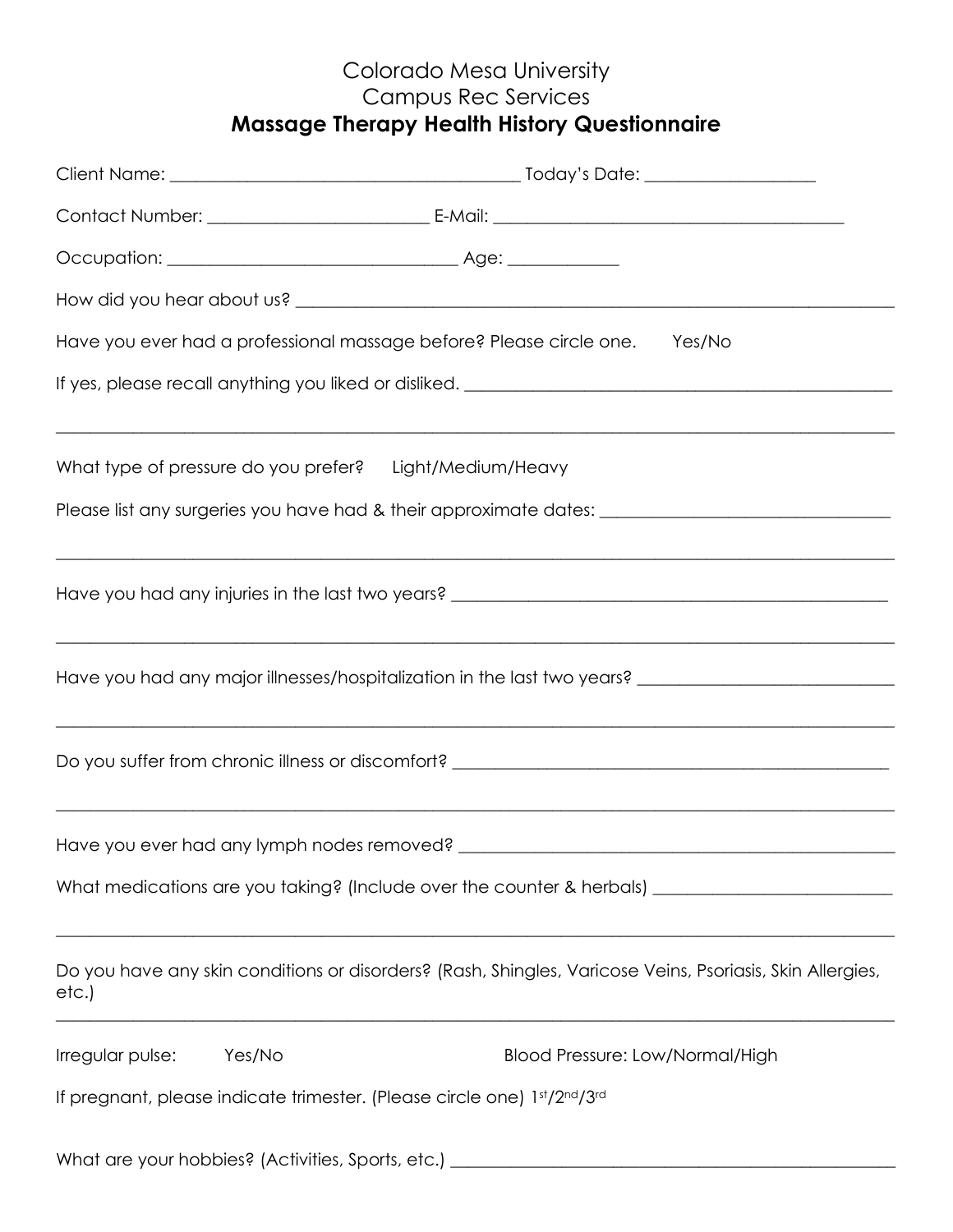# Colorado Mesa University Campus Rec Services **Massage Therapy Health History Questionnaire**

|                                                     | Have you ever had a professional massage before? Please circle one.<br>Yes/No                                                                                            |
|-----------------------------------------------------|--------------------------------------------------------------------------------------------------------------------------------------------------------------------------|
|                                                     |                                                                                                                                                                          |
|                                                     | What type of pressure do you prefer? Light/Medium/Heavy                                                                                                                  |
|                                                     | Please list any surgeries you have had & their approximate dates: __________________________________                                                                     |
|                                                     |                                                                                                                                                                          |
|                                                     | Have you had any major illnesses/hospitalization in the last two years? ____________________________                                                                     |
|                                                     |                                                                                                                                                                          |
| Have you ever had any lymph nodes removed?          | ,我们也不能在这里的时候,我们也不能在这里的时候,我们也不能会在这里的时候,我们也不能会在这里的时候,我们也不能会在这里的时候,我们也不能会在这里的时候,我们也不                                                                                        |
|                                                     | What medications are you taking? (Include over the counter & herbals) ______________________________                                                                     |
| etc.)                                               | Do you have any skin conditions or disorders? (Rash, Shingles, Varicose Veins, Psoriasis, Skin Allergies,<br><u> 1989 - Johann Stoff, Amerikaansk politiker († 1908)</u> |
| Irregular pulse:<br>Yes/No                          | Blood Pressure: Low/Normal/High                                                                                                                                          |
|                                                     | If pregnant, please indicate trimester. (Please circle one) 1st/2nd/3rd                                                                                                  |
| What are your hobbies? (Activities, Sports, etc.) _ |                                                                                                                                                                          |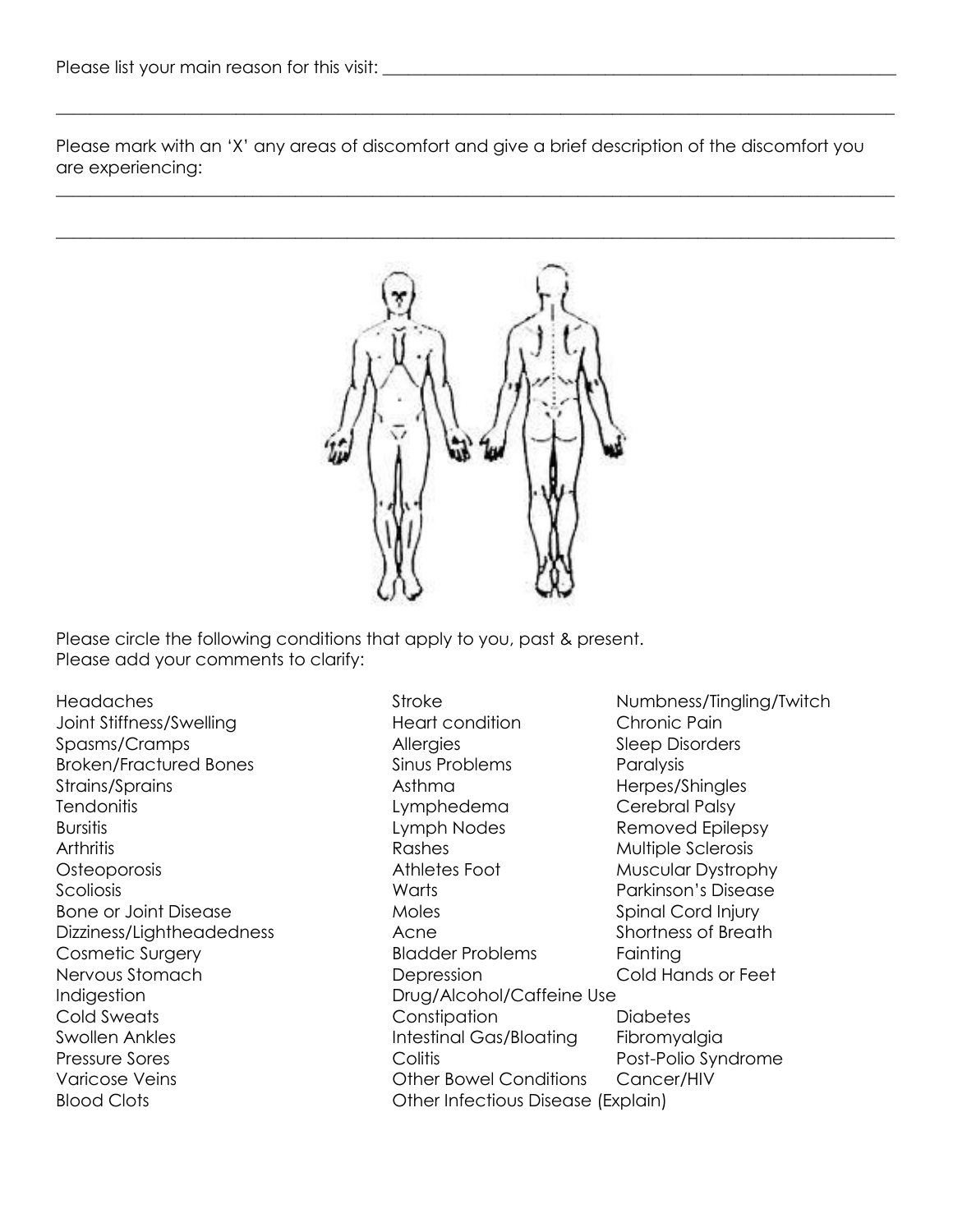Please mark with an 'X' any areas of discomfort and give a brief description of the discomfort you are experiencing:

 $\_$  , and the set of the set of the set of the set of the set of the set of the set of the set of the set of the set of the set of the set of the set of the set of the set of the set of the set of the set of the set of th

 $\_$  , and the set of the set of the set of the set of the set of the set of the set of the set of the set of the set of the set of the set of the set of the set of the set of the set of the set of the set of the set of th



Please circle the following conditions that apply to you, past & present. Please add your comments to clarify:

Indigestion Drug/Alcohol/Caffeine Use Blood Clots Other Infectious Disease (Explain)

Headaches Stroke Numbness/Tingling/Twitch Joint Stiffness/Swelling Theart condition Chronic Pain Spasms/Cramps **Allergies** Allergies Sleep Disorders Broken/Fractured Bones Sinus Problems Paralysis Strains/Sprains and the strains/Sprains and the strains/Sprains and the Asthma herbes/Shingles Tendonitis Lymphedema Cerebral Palsy Bursitis **Bursitis** Exercise Epilepsy Lymph Nodes Removed Epilepsy Arthritis **Arthritis Rashes** Rashes **Multiple Sclerosis** Osteoporosis Athletes Foot Muscular Dystrophy Scoliosis Warts Parkinson's Disease Bone or Joint Disease **Spinal Cord Injury** Moles Spinal Cord Injury Dizziness/Lightheadedness Acne Acne Shortness of Breath Cosmetic Surgery **Example 20 Fainting** Bladder Problems Fainting Nervous Stomach Depression Cold Hands or Feet Cold Sweats Constipation Diabetes Swollen Ankles **Intestinal Gas/Bloating** Fibromyalgia Pressure Sores **Pressure Sores** Colitis **Pressure Sores** Post-Polio Syndrome Varicose Veins **Variance Veins** Cancer/HIV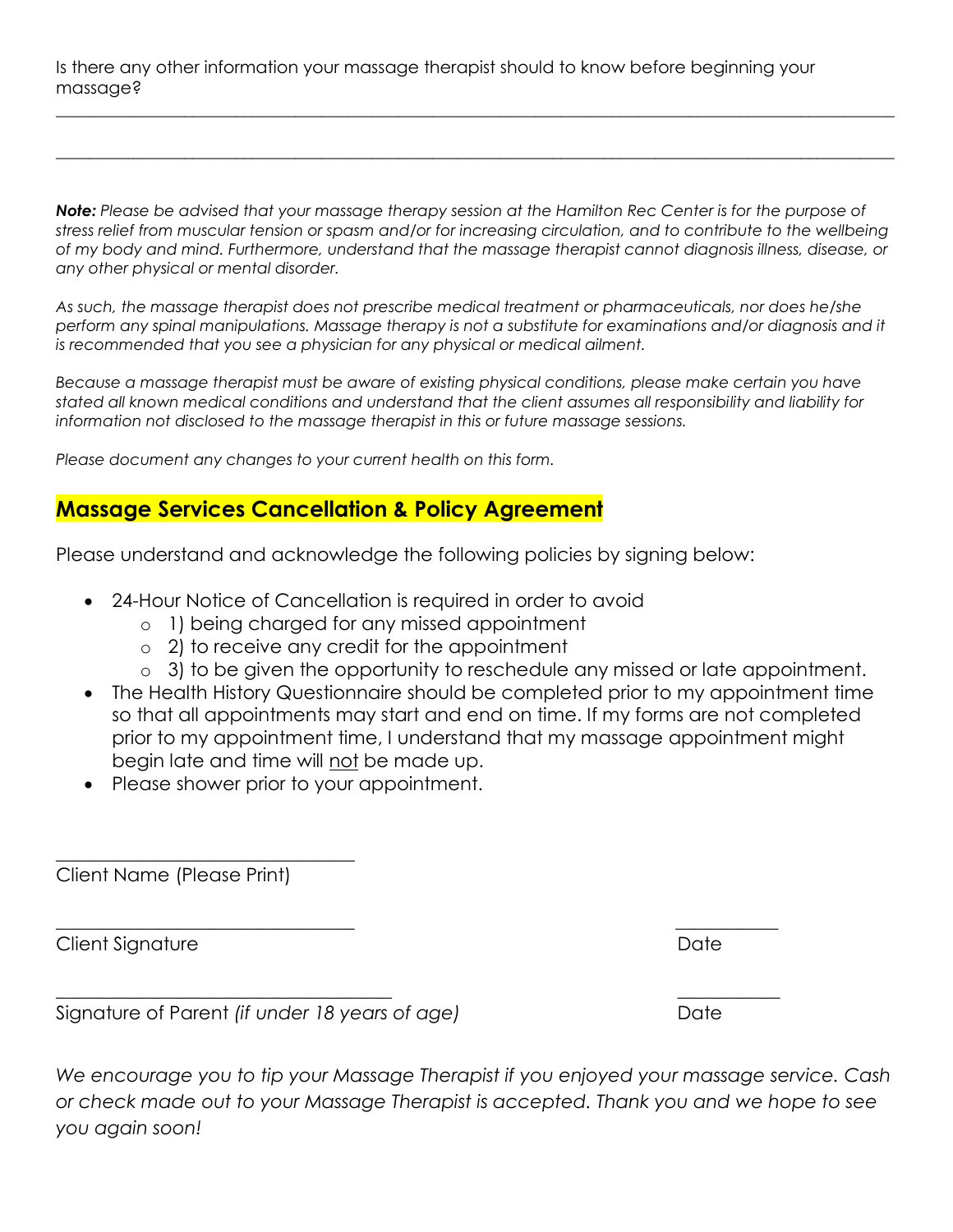Is there any other information your massage therapist should to know before beginning your massage?

*Note: Please be advised that your massage therapy session at the Hamilton Rec Center is for the purpose of stress relief from muscular tension or spasm and/or for increasing circulation, and to contribute to the wellbeing of my body and mind. Furthermore, understand that the massage therapist cannot diagnosis illness, disease, or any other physical or mental disorder.* 

 $\_$  ,  $\_$  ,  $\_$  ,  $\_$  ,  $\_$  ,  $\_$  ,  $\_$  ,  $\_$  ,  $\_$  ,  $\_$  ,  $\_$  ,  $\_$  ,  $\_$  ,  $\_$  ,  $\_$  ,  $\_$  ,  $\_$  ,  $\_$  ,  $\_$  ,  $\_$  ,  $\_$  ,  $\_$  ,  $\_$  ,  $\_$  ,  $\_$  ,  $\_$  ,  $\_$  ,  $\_$  ,  $\_$  ,  $\_$  ,  $\_$  ,  $\_$  ,  $\_$  ,  $\_$  ,  $\_$  ,  $\_$  ,  $\_$  ,

 $\_$  ,  $\_$  ,  $\_$  ,  $\_$  ,  $\_$  ,  $\_$  ,  $\_$  ,  $\_$  ,  $\_$  ,  $\_$  ,  $\_$  ,  $\_$  ,  $\_$  ,  $\_$  ,  $\_$  ,  $\_$  ,  $\_$  ,  $\_$  ,  $\_$  ,  $\_$  ,  $\_$  ,  $\_$  ,  $\_$  ,  $\_$  ,  $\_$  ,  $\_$  ,  $\_$  ,  $\_$  ,  $\_$  ,  $\_$  ,  $\_$  ,  $\_$  ,  $\_$  ,  $\_$  ,  $\_$  ,  $\_$  ,  $\_$  ,

*As such, the massage therapist does not prescribe medical treatment or pharmaceuticals, nor does he/she perform any spinal manipulations. Massage therapy is not a substitute for examinations and/or diagnosis and it is recommended that you see a physician for any physical or medical ailment.* 

*Because a massage therapist must be aware of existing physical conditions, please make certain you have stated all known medical conditions and understand that the client assumes all responsibility and liability for information not disclosed to the massage therapist in this or future massage sessions.* 

*Please document any changes to your current health on this form.*

# **Massage Services Cancellation & Policy Agreement**

Please understand and acknowledge the following policies by signing below:

\_\_\_\_\_\_\_\_\_\_\_\_\_\_\_\_\_\_\_\_\_\_\_\_\_\_\_\_\_\_\_\_ \_\_\_\_\_\_\_\_\_\_\_

\_\_\_\_\_\_\_\_\_\_\_\_\_\_\_\_\_\_\_\_\_\_\_\_\_\_\_\_\_\_\_\_\_\_\_\_ \_\_\_\_\_\_\_\_\_\_\_

- 24-Hour Notice of Cancellation is required in order to avoid
	- o 1) being charged for any missed appointment
	- o 2) to receive any credit for the appointment
	- o 3) to be given the opportunity to reschedule any missed or late appointment.
- The Health History Questionnaire should be completed prior to my appointment time so that all appointments may start and end on time. If my forms are not completed prior to my appointment time, I understand that my massage appointment might begin late and time will not be made up.
- Please shower prior to your appointment.

Client Name (Please Print)

\_\_\_\_\_\_\_\_\_\_\_\_\_\_\_\_\_\_\_\_\_\_\_\_\_\_\_\_\_\_\_\_

Client Signature Date Date Date Date

Signature of Parent *(if under 18 years of age)* Date

*We encourage you to tip your Massage Therapist if you enjoyed your massage service. Cash or check made out to your Massage Therapist is accepted. Thank you and we hope to see you again soon!*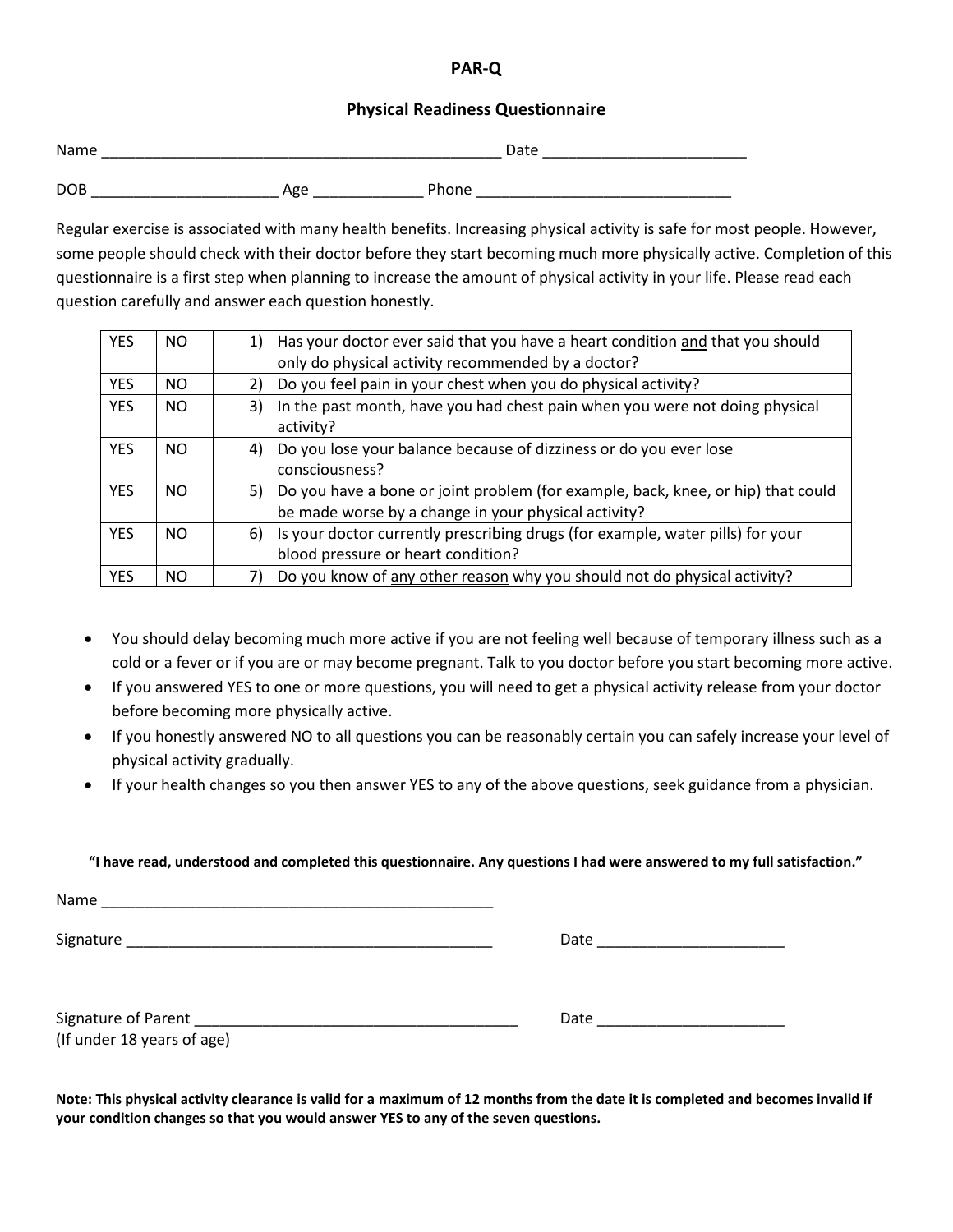## **PAR-Q**

#### **Physical Readiness Questionnaire**

| Name       |     |       | Date |
|------------|-----|-------|------|
| <b>DOB</b> | Age | Phone |      |

Regular exercise is associated with many health benefits. Increasing physical activity is safe for most people. However, some people should check with their doctor before they start becoming much more physically active. Completion of this questionnaire is a first step when planning to increase the amount of physical activity in your life. Please read each question carefully and answer each question honestly.

| <b>YES</b> | NO.       | 1) Has your doctor ever said that you have a heart condition and that you should<br>only do physical activity recommended by a doctor?      |
|------------|-----------|---------------------------------------------------------------------------------------------------------------------------------------------|
| <b>YES</b> | <b>NO</b> | Do you feel pain in your chest when you do physical activity?                                                                               |
| <b>YES</b> | NO.       | In the past month, have you had chest pain when you were not doing physical<br>3)<br>activity?                                              |
| <b>YES</b> | NO.       | Do you lose your balance because of dizziness or do you ever lose<br>4)<br>consciousness?                                                   |
| <b>YES</b> | NO.       | 5) Do you have a bone or joint problem (for example, back, knee, or hip) that could<br>be made worse by a change in your physical activity? |
| <b>YES</b> | NO.       | Is your doctor currently prescribing drugs (for example, water pills) for your<br>6)<br>blood pressure or heart condition?                  |
| <b>YES</b> | NO.       | Do you know of any other reason why you should not do physical activity?                                                                    |

- You should delay becoming much more active if you are not feeling well because of temporary illness such as a cold or a fever or if you are or may become pregnant. Talk to you doctor before you start becoming more active.
- If you answered YES to one or more questions, you will need to get a physical activity release from your doctor before becoming more physically active.
- If you honestly answered NO to all questions you can be reasonably certain you can safely increase your level of physical activity gradually.
- If your health changes so you then answer YES to any of the above questions, seek guidance from a physician.

#### **"I have read, understood and completed this questionnaire. Any questions I had were answered to my full satisfaction."**

| Name |  |
|------|--|
|      |  |

Signature \_\_\_\_\_\_\_\_\_\_\_\_\_\_\_\_\_\_\_\_\_\_\_\_\_\_\_\_\_\_\_\_\_\_\_\_\_\_\_\_\_\_\_ Date \_\_\_\_\_\_\_\_\_\_\_\_\_\_\_\_\_\_\_\_\_\_

| Signature of Parent        | Date |  |
|----------------------------|------|--|
| (If under 18 years of age) |      |  |

**Note: This physical activity clearance is valid for a maximum of 12 months from the date it is completed and becomes invalid if your condition changes so that you would answer YES to any of the seven questions.**